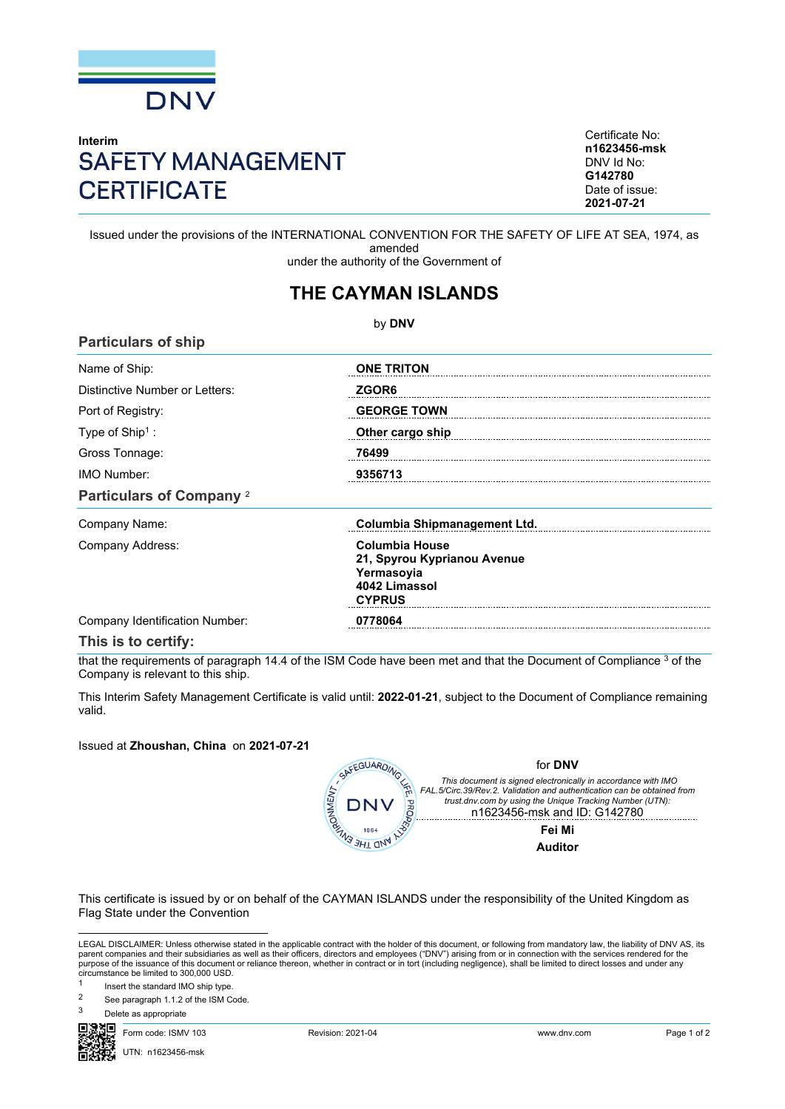

## **Interim** SAFETY MANAGEMENT **CERTIFICATE**

Certificate No: **n1623456-msk** DNV Id No: **G142780** Date of issue: **2021-07-21**

Issued under the provisions of the INTERNATIONAL CONVENTION FOR THE SAFETY OF LIFE AT SEA, 1974, as amended under the authority of the Government of

## **THE CAYMAN ISLANDS**

by **DNV Particulars of ship** Name of Ship: **ONE TRITON** Distinctive Number or Letters: *ZGOR6* Port of Registry: **GEORGE TOWN** Type of Ship<sup>1</sup> : **Other cargo ship**  Gross Tonnage: **76499** IMO Number: **9356713 Particulars of Company** <sup>2</sup> Company Name: **Columbia Shipmanagement Ltd.** Company Address: **Columbia House 21, Spyrou Kyprianou Avenue Yermasoyia 4042 Limassol CYPRUS**

Company Identification Number: **0778064**

**This is to certify:**

that the requirements of paragraph 14.4 of the ISM Code have been met and that the Document of Compliance 3 of the Company is relevant to this ship.

This Interim Safety Management Certificate is valid until: **2022-01-21**, subject to the Document of Compliance remaining valid.

Issued at **Zhoushan, China** on **2021-07-21**



for **DNV**

*This document is signed electronically in accordance with IMO FAL.5/Circ.39/Rev.2. Validation and authentication can be obtained from trust.dnv.com by using the Unique Tracking Number (UTN):* n1623456-msk and ID: G142780

**Fei Mi Auditor**

This certificate is issued by or on behalf of the CAYMAN ISLANDS under the responsibility of the United Kingdom as Flag State under the Convention

LEGAL DISCLAIMER: Unless otherwise stated in the applicable contract with the holder of this document, or following from mandatory law, the liability of DNV AS, its parent companies and their subsidiaries as well as their officers, directors and employees ("DNV") arising from or in connection with the services rendered for the purpose of the issuance of this document or reliance thereon, whether in contract or in tort (including negligence), shall be limited to direct losses and under any circumstance be limited to 300,000 USD.

1 Insert the standard IMO ship type.

- <sup>2</sup> See paragraph 1.1.2 of the ISM Code.
- Delete as appropriate

Form code: ISMV 103 Revision: 2021-04 www.dnv.com Page 1 of 2

UTN: n1623456-msk